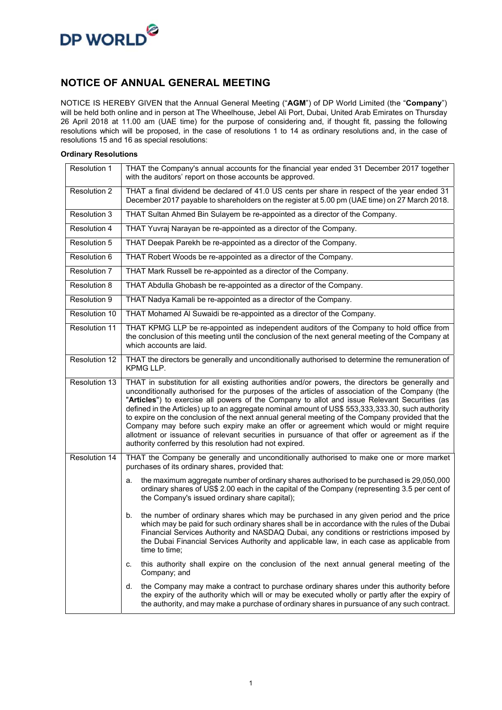

### **NOTICE OF ANNUAL GENERAL MEETING**

NOTICE IS HEREBY GIVEN that the Annual General Meeting ("**AGM**") of DP World Limited (the "**Company**") will be held both online and in person at The Wheelhouse, Jebel Ali Port, Dubai, United Arab Emirates on Thursday 26 April 2018 at 11.00 am (UAE time) for the purpose of considering and, if thought fit, passing the following resolutions which will be proposed, in the case of resolutions 1 to 14 as ordinary resolutions and, in the case of resolutions 15 and 16 as special resolutions:

#### **Ordinary Resolutions**

| Resolution 1  | THAT the Company's annual accounts for the financial year ended 31 December 2017 together<br>with the auditors' report on those accounts be approved.                                                                                                                                                                                                                                                                                                                                                                                                                                                                                                                                                                                                            |  |  |  |
|---------------|------------------------------------------------------------------------------------------------------------------------------------------------------------------------------------------------------------------------------------------------------------------------------------------------------------------------------------------------------------------------------------------------------------------------------------------------------------------------------------------------------------------------------------------------------------------------------------------------------------------------------------------------------------------------------------------------------------------------------------------------------------------|--|--|--|
| Resolution 2  | THAT a final dividend be declared of 41.0 US cents per share in respect of the year ended 31<br>December 2017 payable to shareholders on the register at 5.00 pm (UAE time) on 27 March 2018.                                                                                                                                                                                                                                                                                                                                                                                                                                                                                                                                                                    |  |  |  |
| Resolution 3  | THAT Sultan Ahmed Bin Sulayem be re-appointed as a director of the Company.                                                                                                                                                                                                                                                                                                                                                                                                                                                                                                                                                                                                                                                                                      |  |  |  |
| Resolution 4  | THAT Yuvraj Narayan be re-appointed as a director of the Company.                                                                                                                                                                                                                                                                                                                                                                                                                                                                                                                                                                                                                                                                                                |  |  |  |
| Resolution 5  | THAT Deepak Parekh be re-appointed as a director of the Company.                                                                                                                                                                                                                                                                                                                                                                                                                                                                                                                                                                                                                                                                                                 |  |  |  |
| Resolution 6  | THAT Robert Woods be re-appointed as a director of the Company.                                                                                                                                                                                                                                                                                                                                                                                                                                                                                                                                                                                                                                                                                                  |  |  |  |
| Resolution 7  | THAT Mark Russell be re-appointed as a director of the Company.                                                                                                                                                                                                                                                                                                                                                                                                                                                                                                                                                                                                                                                                                                  |  |  |  |
| Resolution 8  | THAT Abdulla Ghobash be re-appointed as a director of the Company.                                                                                                                                                                                                                                                                                                                                                                                                                                                                                                                                                                                                                                                                                               |  |  |  |
| Resolution 9  | THAT Nadya Kamali be re-appointed as a director of the Company.                                                                                                                                                                                                                                                                                                                                                                                                                                                                                                                                                                                                                                                                                                  |  |  |  |
| Resolution 10 | THAT Mohamed Al Suwaidi be re-appointed as a director of the Company.                                                                                                                                                                                                                                                                                                                                                                                                                                                                                                                                                                                                                                                                                            |  |  |  |
| Resolution 11 | THAT KPMG LLP be re-appointed as independent auditors of the Company to hold office from<br>the conclusion of this meeting until the conclusion of the next general meeting of the Company at<br>which accounts are laid.                                                                                                                                                                                                                                                                                                                                                                                                                                                                                                                                        |  |  |  |
| Resolution 12 | THAT the directors be generally and unconditionally authorised to determine the remuneration of<br>KPMG LLP.                                                                                                                                                                                                                                                                                                                                                                                                                                                                                                                                                                                                                                                     |  |  |  |
| Resolution 13 | THAT in substitution for all existing authorities and/or powers, the directors be generally and<br>unconditionally authorised for the purposes of the articles of association of the Company (the<br>"Articles") to exercise all powers of the Company to allot and issue Relevant Securities (as<br>defined in the Articles) up to an aggregate nominal amount of US\$ 553,333,333.30, such authority<br>to expire on the conclusion of the next annual general meeting of the Company provided that the<br>Company may before such expiry make an offer or agreement which would or might require<br>allotment or issuance of relevant securities in pursuance of that offer or agreement as if the<br>authority conferred by this resolution had not expired. |  |  |  |
| Resolution 14 | THAT the Company be generally and unconditionally authorised to make one or more market<br>purchases of its ordinary shares, provided that:                                                                                                                                                                                                                                                                                                                                                                                                                                                                                                                                                                                                                      |  |  |  |
|               | the maximum aggregate number of ordinary shares authorised to be purchased is 29,050,000<br>а.<br>ordinary shares of US\$ 2.00 each in the capital of the Company (representing 3.5 per cent of<br>the Company's issued ordinary share capital);                                                                                                                                                                                                                                                                                                                                                                                                                                                                                                                 |  |  |  |
|               | the number of ordinary shares which may be purchased in any given period and the price<br>b.<br>which may be paid for such ordinary shares shall be in accordance with the rules of the Dubai<br>Financial Services Authority and NASDAQ Dubai, any conditions or restrictions imposed by<br>the Dubai Financial Services Authority and applicable law, in each case as applicable from<br>time to time;                                                                                                                                                                                                                                                                                                                                                         |  |  |  |
|               | this authority shall expire on the conclusion of the next annual general meeting of the<br>c.<br>Company; and                                                                                                                                                                                                                                                                                                                                                                                                                                                                                                                                                                                                                                                    |  |  |  |
|               | the Company may make a contract to purchase ordinary shares under this authority before<br>d.<br>the expiry of the authority which will or may be executed wholly or partly after the expiry of<br>the authority, and may make a purchase of ordinary shares in pursuance of any such contract.                                                                                                                                                                                                                                                                                                                                                                                                                                                                  |  |  |  |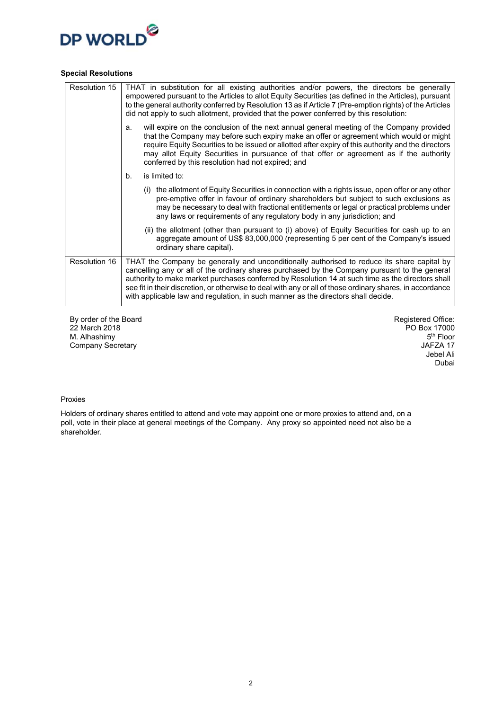

#### **Special Resolutions**

| Resolution 15 | THAT in substitution for all existing authorities and/or powers, the directors be generally<br>empowered pursuant to the Articles to allot Equity Securities (as defined in the Articles), pursuant<br>to the general authority conferred by Resolution 13 as if Article 7 (Pre-emption rights) of the Articles<br>did not apply to such allotment, provided that the power conferred by this resolution:                                                                                           |
|---------------|-----------------------------------------------------------------------------------------------------------------------------------------------------------------------------------------------------------------------------------------------------------------------------------------------------------------------------------------------------------------------------------------------------------------------------------------------------------------------------------------------------|
|               | will expire on the conclusion of the next annual general meeting of the Company provided<br>a.<br>that the Company may before such expiry make an offer or agreement which would or might<br>require Equity Securities to be issued or allotted after expiry of this authority and the directors<br>may allot Equity Securities in pursuance of that offer or agreement as if the authority<br>conferred by this resolution had not expired; and                                                    |
|               | is limited to:<br>b.                                                                                                                                                                                                                                                                                                                                                                                                                                                                                |
|               | (i) the allotment of Equity Securities in connection with a rights issue, open offer or any other<br>pre-emptive offer in favour of ordinary shareholders but subject to such exclusions as<br>may be necessary to deal with fractional entitlements or legal or practical problems under<br>any laws or requirements of any regulatory body in any jurisdiction; and                                                                                                                               |
|               | (ii) the allotment (other than pursuant to (i) above) of Equity Securities for cash up to an<br>aggregate amount of US\$ 83,000,000 (representing 5 per cent of the Company's issued<br>ordinary share capital).                                                                                                                                                                                                                                                                                    |
| Resolution 16 | THAT the Company be generally and unconditionally authorised to reduce its share capital by<br>cancelling any or all of the ordinary shares purchased by the Company pursuant to the general<br>authority to make market purchases conferred by Resolution 14 at such time as the directors shall<br>see fit in their discretion, or otherwise to deal with any or all of those ordinary shares, in accordance<br>with applicable law and regulation, in such manner as the directors shall decide. |

By order of the Board 22 March 2018 M. Alhashimy Company Secretary

Registered Office: PO Box 17000 5<sup>th</sup> Floor JAFZA 17 Jebel Ali Dubai

#### Proxies

Holders of ordinary shares entitled to attend and vote may appoint one or more proxies to attend and, on a poll, vote in their place at general meetings of the Company. Any proxy so appointed need not also be a shareholder.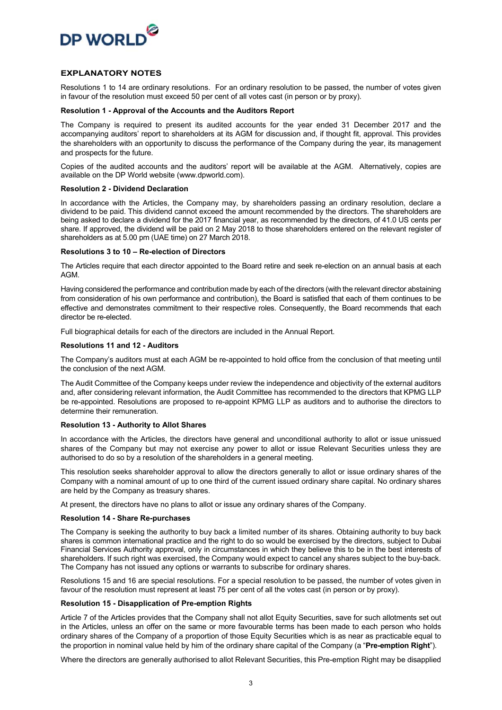

#### **EXPLANATORY NOTES**

Resolutions 1 to 14 are ordinary resolutions. For an ordinary resolution to be passed, the number of votes given in favour of the resolution must exceed 50 per cent of all votes cast (in person or by proxy).

#### **Resolution 1 - Approval of the Accounts and the Auditors Report**

The Company is required to present its audited accounts for the year ended 31 December 2017 and the accompanying auditors' report to shareholders at its AGM for discussion and, if thought fit, approval. This provides the shareholders with an opportunity to discuss the performance of the Company during the year, its management and prospects for the future.

Copies of the audited accounts and the auditors' report will be available at the AGM. Alternatively, copies are available on the DP World website (www.dpworld.com).

#### **Resolution 2 - Dividend Declaration**

In accordance with the Articles, the Company may, by shareholders passing an ordinary resolution, declare a dividend to be paid. This dividend cannot exceed the amount recommended by the directors. The shareholders are being asked to declare a dividend for the 2017 financial year, as recommended by the directors, of 41.0 US cents per share. If approved, the dividend will be paid on 2 May 2018 to those shareholders entered on the relevant register of shareholders as at 5.00 pm (UAE time) on 27 March 2018.

#### **Resolutions 3 to 10 – Re-election of Directors**

The Articles require that each director appointed to the Board retire and seek re-election on an annual basis at each AGM.

Having considered the performance and contribution made by each of the directors (with the relevant director abstaining from consideration of his own performance and contribution), the Board is satisfied that each of them continues to be effective and demonstrates commitment to their respective roles. Consequently, the Board recommends that each director be re-elected.

Full biographical details for each of the directors are included in the Annual Report.

#### **Resolutions 11 and 12 - Auditors**

The Company's auditors must at each AGM be re-appointed to hold office from the conclusion of that meeting until the conclusion of the next AGM.

The Audit Committee of the Company keeps under review the independence and objectivity of the external auditors and, after considering relevant information, the Audit Committee has recommended to the directors that KPMG LLP be re-appointed. Resolutions are proposed to re-appoint KPMG LLP as auditors and to authorise the directors to determine their remuneration.

#### **Resolution 13 - Authority to Allot Shares**

In accordance with the Articles, the directors have general and unconditional authority to allot or issue unissued shares of the Company but may not exercise any power to allot or issue Relevant Securities unless they are authorised to do so by a resolution of the shareholders in a general meeting.

This resolution seeks shareholder approval to allow the directors generally to allot or issue ordinary shares of the Company with a nominal amount of up to one third of the current issued ordinary share capital. No ordinary shares are held by the Company as treasury shares.

At present, the directors have no plans to allot or issue any ordinary shares of the Company.

#### **Resolution 14 - Share Re-purchases**

The Company is seeking the authority to buy back a limited number of its shares. Obtaining authority to buy back shares is common international practice and the right to do so would be exercised by the directors, subject to Dubai Financial Services Authority approval, only in circumstances in which they believe this to be in the best interests of shareholders. If such right was exercised, the Company would expect to cancel any shares subject to the buy-back. The Company has not issued any options or warrants to subscribe for ordinary shares.

Resolutions 15 and 16 are special resolutions. For a special resolution to be passed, the number of votes given in favour of the resolution must represent at least 75 per cent of all the votes cast (in person or by proxy).

#### **Resolution 15 - Disapplication of Pre-emption Rights**

Article 7 of the Articles provides that the Company shall not allot Equity Securities, save for such allotments set out in the Articles, unless an offer on the same or more favourable terms has been made to each person who holds ordinary shares of the Company of a proportion of those Equity Securities which is as near as practicable equal to the proportion in nominal value held by him of the ordinary share capital of the Company (a "**Pre-emption Right**").

Where the directors are generally authorised to allot Relevant Securities, this Pre-emption Right may be disapplied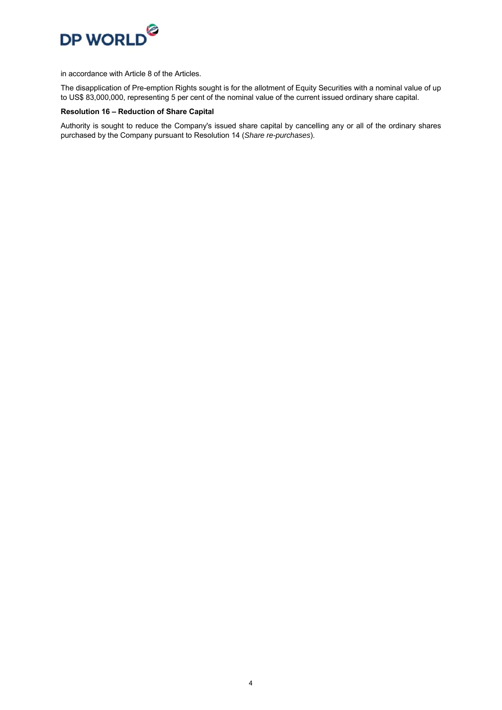

in accordance with Article 8 of the Articles.

The disapplication of Pre-emption Rights sought is for the allotment of Equity Securities with a nominal value of up to US\$ 83,000,000, representing 5 per cent of the nominal value of the current issued ordinary share capital.

#### **Resolution 16 – Reduction of Share Capital**

Authority is sought to reduce the Company's issued share capital by cancelling any or all of the ordinary shares purchased by the Company pursuant to Resolution 14 (*Share re-purchases*).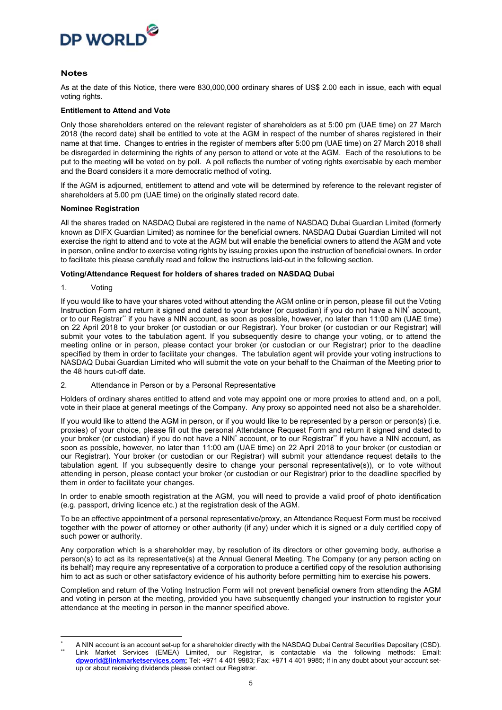

#### **Notes**

As at the date of this Notice, there were 830,000,000 ordinary shares of US\$ 2.00 each in issue, each with equal voting rights.

#### **Entitlement to Attend and Vote**

Only those shareholders entered on the relevant register of shareholders as at 5:00 pm (UAE time) on 27 March 2018 (the record date) shall be entitled to vote at the AGM in respect of the number of shares registered in their name at that time. Changes to entries in the register of members after 5:00 pm (UAE time) on 27 March 2018 shall be disregarded in determining the rights of any person to attend or vote at the AGM. Each of the resolutions to be put to the meeting will be voted on by poll. A poll reflects the number of voting rights exercisable by each member and the Board considers it a more democratic method of voting.

If the AGM is adjourned, entitlement to attend and vote will be determined by reference to the relevant register of shareholders at 5.00 pm (UAE time) on the originally stated record date.

#### **Nominee Registration**

All the shares traded on NASDAQ Dubai are registered in the name of NASDAQ Dubai Guardian Limited (formerly known as DIFX Guardian Limited) as nominee for the beneficial owners. NASDAQ Dubai Guardian Limited will not exercise the right to attend and to vote at the AGM but will enable the beneficial owners to attend the AGM and vote in person, online and/or to exercise voting rights by issuing proxies upon the instruction of beneficial owners. In order to facilitate this please carefully read and follow the instructions laid-out in the following section.

#### **Voting/Attendance Request for holders of shares traded on NASDAQ Dubai**

1. Voting

If you would like to have your shares voted without attending the AGM online or in person, please fill out the Voting Instruction Form and return it signed and dated to your broker (or custodian) if you do not have a NIN<sup>\*</sup> account, or to our Registrar\*\* if you have a NIN account, as soon as possible, however, no later than 11:00 am (UAE time) on 22 April 2018 to your broker (or custodian or our Registrar). Your broker (or custodian or our Registrar) will submit your votes to the tabulation agent. If you subsequently desire to change your voting, or to attend the meeting online or in person, please contact your broker (or custodian or our Registrar) prior to the deadline specified by them in order to facilitate your changes. The tabulation agent will provide your voting instructions to NASDAQ Dubai Guardian Limited who will submit the vote on your behalf to the Chairman of the Meeting prior to the 48 hours cut-off date.

2. Attendance in Person or by a Personal Representative

Holders of ordinary shares entitled to attend and vote may appoint one or more proxies to attend and, on a poll, vote in their place at general meetings of the Company. Any proxy so appointed need not also be a shareholder.

If you would like to attend the AGM in person, or if you would like to be represented by a person or person(s) (i.e. proxies) of your choice, please fill out the personal Attendance Request Form and return it signed and dated to your broker (or custodian) if you do not have a NIN<sup>\*</sup> account, or to our Registrar\*\* if you have a NIN account, as soon as possible, however, no later than 11:00 am (UAE time) on 22 April 2018 to your broker (or custodian or our Registrar). Your broker (or custodian or our Registrar) will submit your attendance request details to the tabulation agent. If you subsequently desire to change your personal representative(s)), or to vote without attending in person, please contact your broker (or custodian or our Registrar) prior to the deadline specified by them in order to facilitate your changes.

In order to enable smooth registration at the AGM, you will need to provide a valid proof of photo identification (e.g. passport, driving licence etc.) at the registration desk of the AGM.

To be an effective appointment of a personal representative/proxy, an Attendance Request Form must be received together with the power of attorney or other authority (if any) under which it is signed or a duly certified copy of such power or authority.

Any corporation which is a shareholder may, by resolution of its directors or other governing body, authorise a person(s) to act as its representative(s) at the Annual General Meeting. The Company (or any person acting on its behalf) may require any representative of a corporation to produce a certified copy of the resolution authorising him to act as such or other satisfactory evidence of his authority before permitting him to exercise his powers.

Completion and return of the Voting Instruction Form will not prevent beneficial owners from attending the AGM and voting in person at the meeting, provided you have subsequently changed your instruction to register your attendance at the meeting in person in the manner specified above.

<sup>\*</sup> A NIN account is an account set-up for a shareholder directly with the NASDAQ Dubai Central Securities Depositary (CSD). \*\* Link Market Services (EMEA) Limited, our Registrar, is contactable via the following methods: Email: **dpworld@linkmarketservices.com;** Tel: +971 4 401 9983; Fax: +971 4 401 9985; If in any doubt about your account setup or about receiving dividends please contact our Registrar.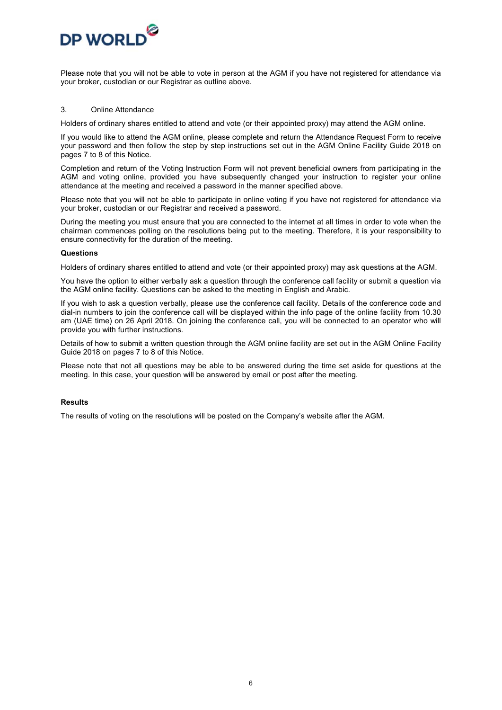

Please note that you will not be able to vote in person at the AGM if you have not registered for attendance via your broker, custodian or our Registrar as outline above.

#### 3. Online Attendance

Holders of ordinary shares entitled to attend and vote (or their appointed proxy) may attend the AGM online.

If you would like to attend the AGM online, please complete and return the Attendance Request Form to receive your password and then follow the step by step instructions set out in the AGM Online Facility Guide 2018 on pages 7 to 8 of this Notice.

Completion and return of the Voting Instruction Form will not prevent beneficial owners from participating in the AGM and voting online, provided you have subsequently changed your instruction to register your online attendance at the meeting and received a password in the manner specified above.

Please note that you will not be able to participate in online voting if you have not registered for attendance via your broker, custodian or our Registrar and received a password.

During the meeting you must ensure that you are connected to the internet at all times in order to vote when the chairman commences polling on the resolutions being put to the meeting. Therefore, it is your responsibility to ensure connectivity for the duration of the meeting.

#### **Questions**

Holders of ordinary shares entitled to attend and vote (or their appointed proxy) may ask questions at the AGM.

You have the option to either verbally ask a question through the conference call facility or submit a question via the AGM online facility. Questions can be asked to the meeting in English and Arabic.

If you wish to ask a question verbally, please use the conference call facility. Details of the conference code and dial-in numbers to join the conference call will be displayed within the info page of the online facility from 10.30 am (UAE time) on 26 April 2018. On joining the conference call, you will be connected to an operator who will provide you with further instructions.

Details of how to submit a written question through the AGM online facility are set out in the AGM Online Facility Guide 2018 on pages 7 to 8 of this Notice.

Please note that not all questions may be able to be answered during the time set aside for questions at the meeting. In this case, your question will be answered by email or post after the meeting.

#### **Results**

The results of voting on the resolutions will be posted on the Company's website after the AGM.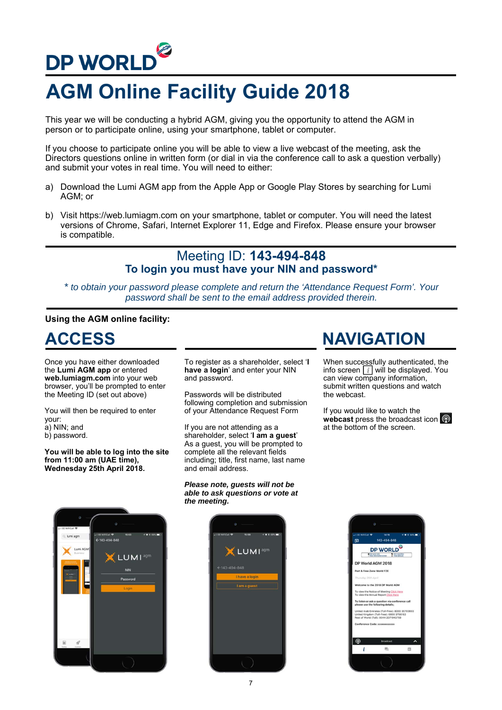# **DP WORLD**

# **AGM Online Facility Guide 2018**

This year we will be conducting a hybrid AGM, giving you the opportunity to attend the AGM in person or to participate online, using your smartphone, tablet or computer.

If you choose to participate online you will be able to view a live webcast of the meeting, ask the Directors questions online in written form (or dial in via the conference call to ask a question verbally) and submit your votes in real time. You will need to either:

- a) Download the Lumi AGM app from the Apple App or Google Play Stores by searching for Lumi AGM; or
- b) Visit https://web.lumiagm.com on your smartphone, tablet or computer. You will need the latest versions of Chrome, Safari, Internet Explorer 11, Edge and Firefox. Please ensure your browser is compatible.

## Meeting ID: **143-494-848 To login you must have your NIN and password\***

*\* to obtain your password please complete and return the 'Attendance Request Form'. Your password shall be sent to the email address provided therein.*

### **Using the AGM online facility:**

Once you have either downloaded the **Lumi AGM app** or entered **web.lumiagm.com** into your web browser, you'll be prompted to enter the Meeting ID (set out above)

You will then be required to enter your:

- a) NIN; and
- b) password.

**You will be able to log into the site from 11:00 am (UAE time), Wednesday 25th April 2018.**

To register as a shareholder, select '**I have a login**' and enter your NIN and password.

Passwords will be distributed following completion and submission of your Attendance Request Form

If you are not attending as a shareholder, select '**I am a guest**' As a guest, you will be prompted to complete all the relevant fields including; title, first name, last name and email address.

#### *Please note, guests will not be able to ask questions or vote at the meeting.*





## **ACCESS NAVIGATION**

When successfully authenticated, the info screen  $\boxed{i}$  will be displayed. You can view company information, submit written questions and watch the webcast.

If you would like to watch the webcast press the broadcast icon at the bottom of the screen.